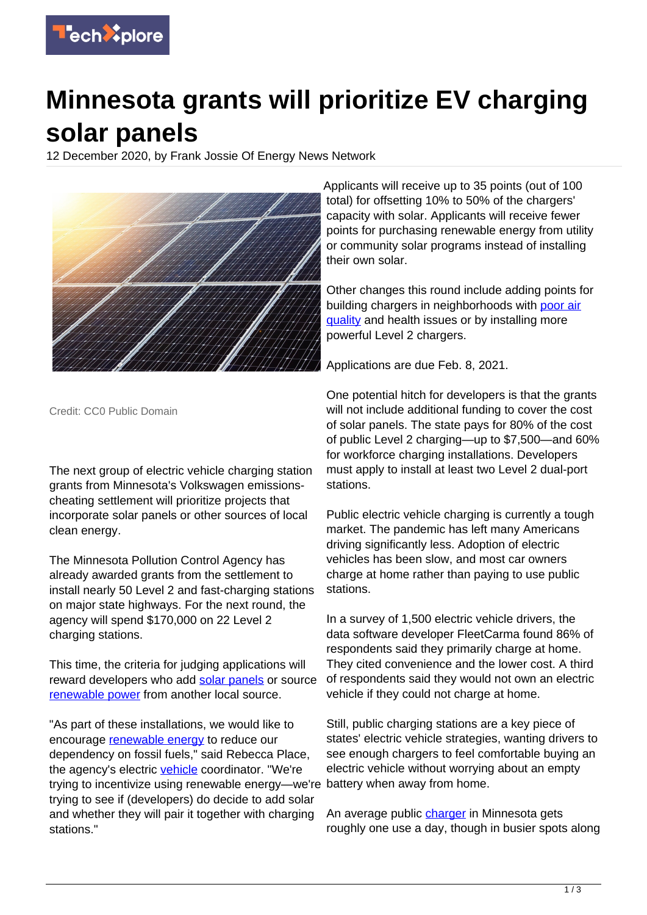

## **Minnesota grants will prioritize EV charging solar panels**

12 December 2020, by Frank Jossie Of Energy News Network



Credit: CC0 Public Domain

The next group of electric vehicle charging station grants from Minnesota's Volkswagen emissionscheating settlement will prioritize projects that incorporate solar panels or other sources of local clean energy.

The Minnesota Pollution Control Agency has already awarded grants from the settlement to install nearly 50 Level 2 and fast-charging stations on major state highways. For the next round, the agency will spend \$170,000 on 22 Level 2 charging stations.

This time, the criteria for judging applications will reward developers who add [solar panels](https://techxplore.com/tags/solar+panels/) or source [renewable power](https://techxplore.com/tags/renewable+power/) from another local source.

"As part of these installations, we would like to encourage [renewable energy](https://techxplore.com/tags/renewable+energy/) to reduce our dependency on fossil fuels," said Rebecca Place, the agency's electric [vehicle](https://techxplore.com/tags/vehicle/) coordinator. "We're trying to incentivize using renewable energy—we're trying to see if (developers) do decide to add solar and whether they will pair it together with charging stations."

Applicants will receive up to 35 points (out of 100 total) for offsetting 10% to 50% of the chargers' capacity with solar. Applicants will receive fewer points for purchasing renewable energy from utility or community solar programs instead of installing their own solar.

Other changes this round include adding points for building chargers in neighborhoods with [poor air](https://techxplore.com/tags/poor+air+quality/) [quality](https://techxplore.com/tags/poor+air+quality/) and health issues or by installing more powerful Level 2 chargers.

Applications are due Feb. 8, 2021.

One potential hitch for developers is that the grants will not include additional funding to cover the cost of solar panels. The state pays for 80% of the cost of public Level 2 charging—up to \$7,500—and 60% for workforce charging installations. Developers must apply to install at least two Level 2 dual-port stations.

Public electric vehicle charging is currently a tough market. The pandemic has left many Americans driving significantly less. Adoption of electric vehicles has been slow, and most car owners charge at home rather than paying to use public stations.

In a survey of 1,500 electric vehicle drivers, the data software developer FleetCarma found 86% of respondents said they primarily charge at home. They cited convenience and the lower cost. A third of respondents said they would not own an electric vehicle if they could not charge at home.

Still, public charging stations are a key piece of states' electric vehicle strategies, wanting drivers to see enough chargers to feel comfortable buying an electric vehicle without worrying about an empty battery when away from home.

An average public *charger* in Minnesota gets roughly one use a day, though in busier spots along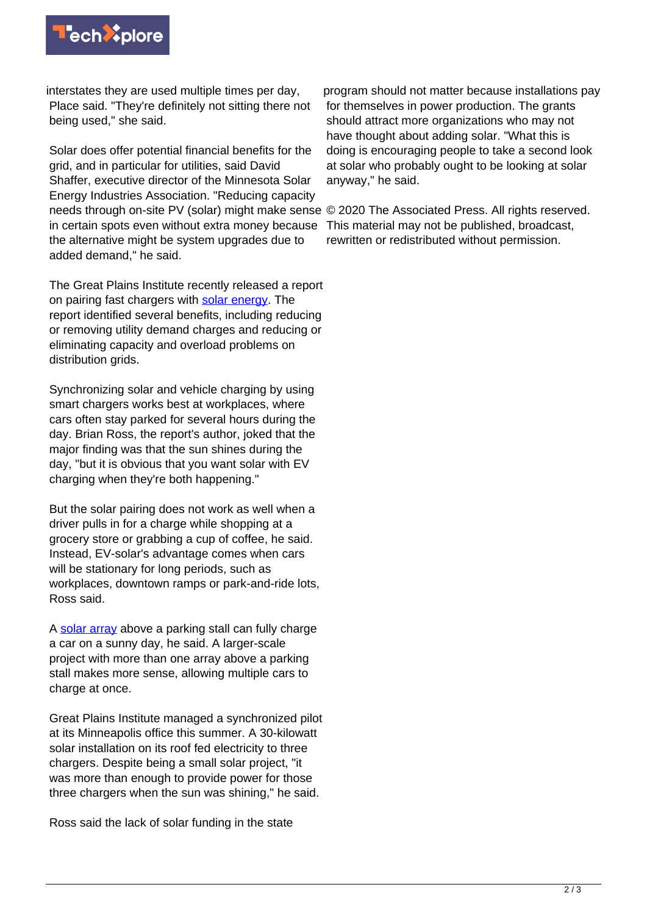

interstates they are used multiple times per day, Place said. "They're definitely not sitting there not being used," she said.

Solar does offer potential financial benefits for the grid, and in particular for utilities, said David Shaffer, executive director of the Minnesota Solar Energy Industries Association. "Reducing capacity needs through on-site PV (solar) might make sense © 2020 The Associated Press. All rights reserved. in certain spots even without extra money because the alternative might be system upgrades due to added demand," he said.

The Great Plains Institute recently released a report on pairing fast chargers with [solar energy](https://techxplore.com/tags/solar+energy/). The report identified several benefits, including reducing or removing utility demand charges and reducing or eliminating capacity and overload problems on distribution grids.

Synchronizing solar and vehicle charging by using smart chargers works best at workplaces, where cars often stay parked for several hours during the day. Brian Ross, the report's author, joked that the major finding was that the sun shines during the day, "but it is obvious that you want solar with EV charging when they're both happening."

But the solar pairing does not work as well when a driver pulls in for a charge while shopping at a grocery store or grabbing a cup of coffee, he said. Instead, EV-solar's advantage comes when cars will be stationary for long periods, such as workplaces, downtown ramps or park-and-ride lots, Ross said.

A [solar array](https://techxplore.com/tags/solar+array/) above a parking stall can fully charge a car on a sunny day, he said. A larger-scale project with more than one array above a parking stall makes more sense, allowing multiple cars to charge at once.

Great Plains Institute managed a synchronized pilot at its Minneapolis office this summer. A 30-kilowatt solar installation on its roof fed electricity to three chargers. Despite being a small solar project, "it was more than enough to provide power for those three chargers when the sun was shining," he said.

Ross said the lack of solar funding in the state

program should not matter because installations pay for themselves in power production. The grants should attract more organizations who may not have thought about adding solar. "What this is doing is encouraging people to take a second look at solar who probably ought to be looking at solar anyway," he said.

This material may not be published, broadcast, rewritten or redistributed without permission.